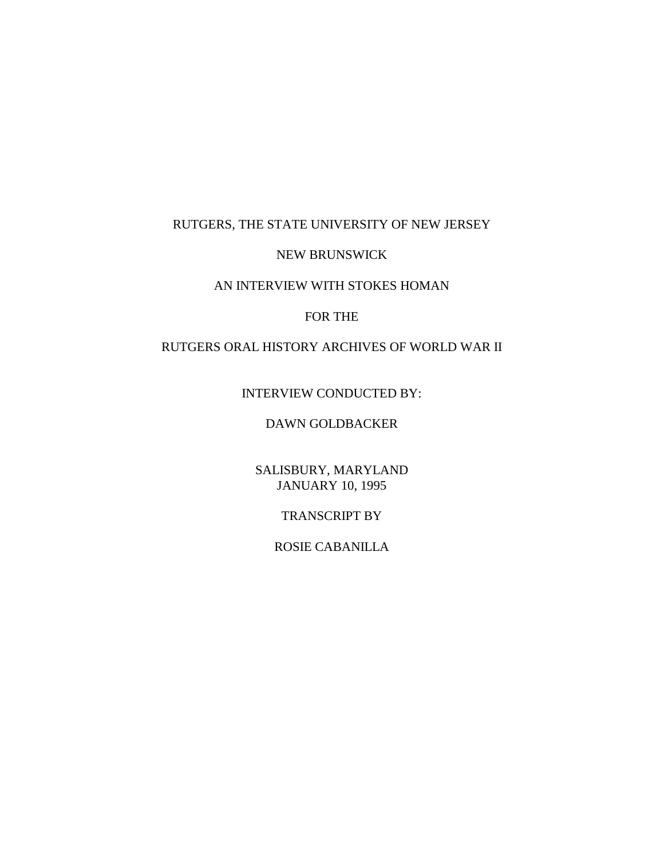### RUTGERS, THE STATE UNIVERSITY OF NEW JERSEY

#### NEW BRUNSWICK

# AN INTERVIEW WITH STOKES HOMAN

#### FOR THE

# RUTGERS ORAL HISTORY ARCHIVES OF WORLD WAR II

## INTERVIEW CONDUCTED BY:

## DAWN GOLDBACKER

# SALISBURY, MARYLAND JANUARY 10, 1995

### TRANSCRIPT BY

## ROSIE CABANILLA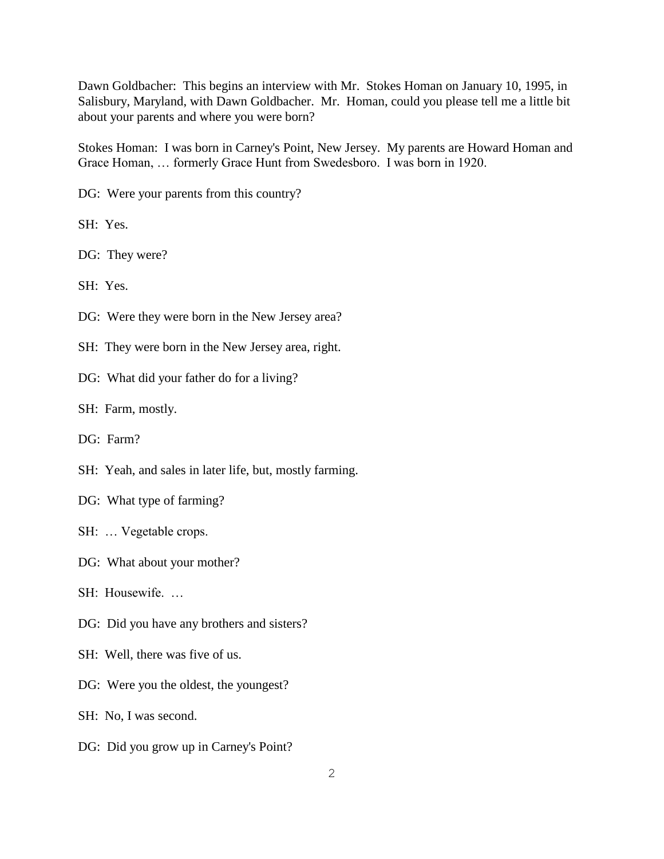Dawn Goldbacher: This begins an interview with Mr. Stokes Homan on January 10, 1995, in Salisbury, Maryland, with Dawn Goldbacher. Mr. Homan, could you please tell me a little bit about your parents and where you were born?

Stokes Homan: I was born in Carney's Point, New Jersey. My parents are Howard Homan and Grace Homan, … formerly Grace Hunt from Swedesboro. I was born in 1920.

DG: Were your parents from this country?

SH: Yes.

DG: They were?

SH: Yes.

DG: Were they were born in the New Jersey area?

SH: They were born in the New Jersey area, right.

DG: What did your father do for a living?

SH: Farm, mostly.

DG: Farm?

SH: Yeah, and sales in later life, but, mostly farming.

DG: What type of farming?

SH: … Vegetable crops.

DG: What about your mother?

 $SH:$  Housewife.

DG: Did you have any brothers and sisters?

SH: Well, there was five of us.

DG: Were you the oldest, the youngest?

SH: No, I was second.

DG: Did you grow up in Carney's Point?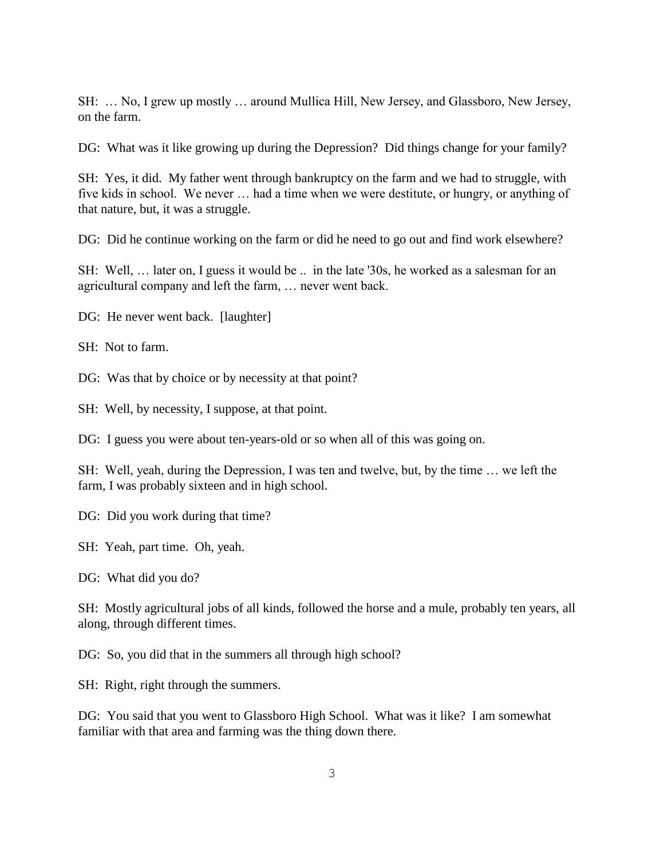SH: … No, I grew up mostly … around Mullica Hill, New Jersey, and Glassboro, New Jersey, on the farm.

DG: What was it like growing up during the Depression? Did things change for your family?

SH: Yes, it did. My father went through bankruptcy on the farm and we had to struggle, with five kids in school. We never … had a time when we were destitute, or hungry, or anything of that nature, but, it was a struggle.

DG: Did he continue working on the farm or did he need to go out and find work elsewhere?

SH: Well, … later on, I guess it would be .. in the late '30s, he worked as a salesman for an agricultural company and left the farm, … never went back.

DG: He never went back. [laughter]

SH: Not to farm.

DG: Was that by choice or by necessity at that point?

SH: Well, by necessity, I suppose, at that point.

DG: I guess you were about ten-years-old or so when all of this was going on.

SH: Well, yeah, during the Depression, I was ten and twelve, but, by the time … we left the farm, I was probably sixteen and in high school.

DG: Did you work during that time?

SH: Yeah, part time. Oh, yeah.

DG: What did you do?

SH: Mostly agricultural jobs of all kinds, followed the horse and a mule, probably ten years, all along, through different times.

DG: So, you did that in the summers all through high school?

SH: Right, right through the summers.

DG: You said that you went to Glassboro High School. What was it like? I am somewhat familiar with that area and farming was the thing down there.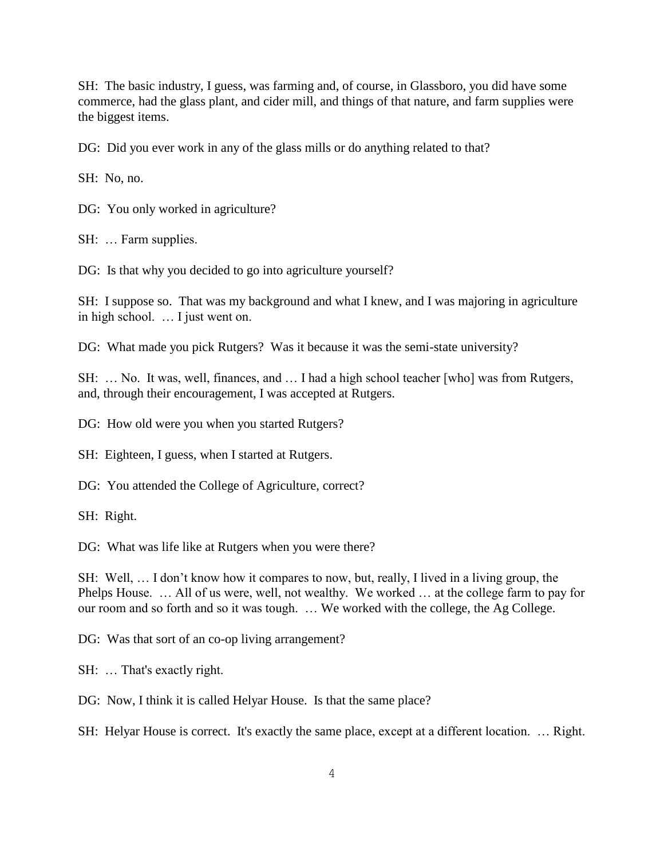SH: The basic industry, I guess, was farming and, of course, in Glassboro, you did have some commerce, had the glass plant, and cider mill, and things of that nature, and farm supplies were the biggest items.

DG: Did you ever work in any of the glass mills or do anything related to that?

SH: No, no.

DG: You only worked in agriculture?

SH: … Farm supplies.

DG: Is that why you decided to go into agriculture yourself?

SH: I suppose so. That was my background and what I knew, and I was majoring in agriculture in high school. … I just went on.

DG: What made you pick Rutgers? Was it because it was the semi-state university?

SH: … No. It was, well, finances, and … I had a high school teacher [who] was from Rutgers, and, through their encouragement, I was accepted at Rutgers.

DG: How old were you when you started Rutgers?

SH: Eighteen, I guess, when I started at Rutgers.

DG: You attended the College of Agriculture, correct?

SH: Right.

DG: What was life like at Rutgers when you were there?

SH: Well, … I don't know how it compares to now, but, really, I lived in a living group, the Phelps House. … All of us were, well, not wealthy. We worked … at the college farm to pay for our room and so forth and so it was tough. … We worked with the college, the Ag College.

DG: Was that sort of an co-op living arrangement?

SH: … That's exactly right.

DG: Now, I think it is called Helyar House. Is that the same place?

SH: Helyar House is correct. It's exactly the same place, except at a different location. … Right.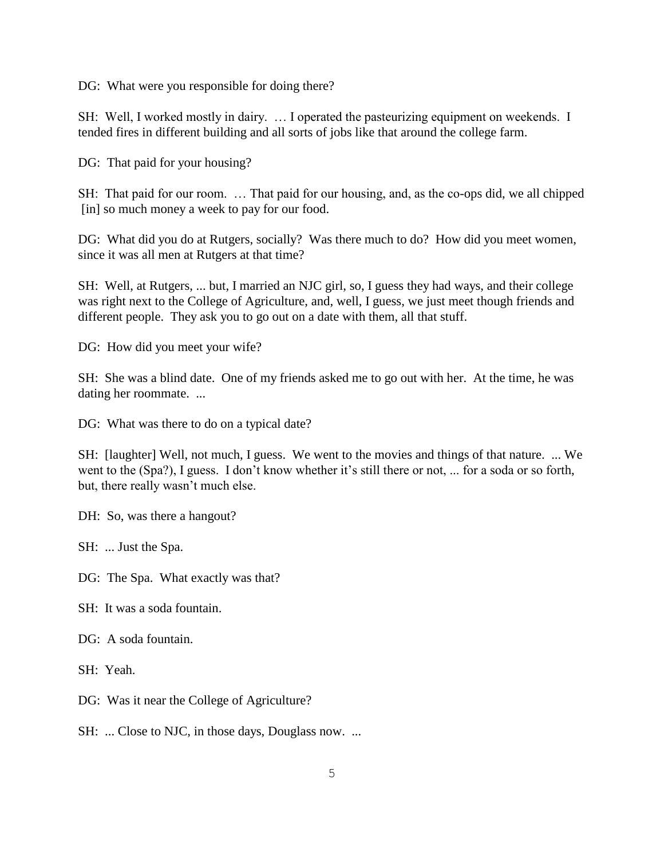DG: What were you responsible for doing there?

SH: Well, I worked mostly in dairy. … I operated the pasteurizing equipment on weekends. I tended fires in different building and all sorts of jobs like that around the college farm.

DG: That paid for your housing?

SH: That paid for our room. … That paid for our housing, and, as the co-ops did, we all chipped [in] so much money a week to pay for our food.

DG: What did you do at Rutgers, socially? Was there much to do? How did you meet women, since it was all men at Rutgers at that time?

SH: Well, at Rutgers, ... but, I married an NJC girl, so, I guess they had ways, and their college was right next to the College of Agriculture, and, well, I guess, we just meet though friends and different people. They ask you to go out on a date with them, all that stuff.

DG: How did you meet your wife?

SH: She was a blind date. One of my friends asked me to go out with her. At the time, he was dating her roommate. ...

DG: What was there to do on a typical date?

SH: [laughter] Well, not much, I guess. We went to the movies and things of that nature. ... We went to the (Spa?), I guess. I don't know whether it's still there or not, ... for a soda or so forth, but, there really wasn't much else.

DH: So, was there a hangout?

SH: ... Just the Spa.

DG: The Spa. What exactly was that?

SH: It was a soda fountain.

DG: A soda fountain.

SH: Yeah.

DG: Was it near the College of Agriculture?

SH: ... Close to NJC, in those days, Douglass now. ...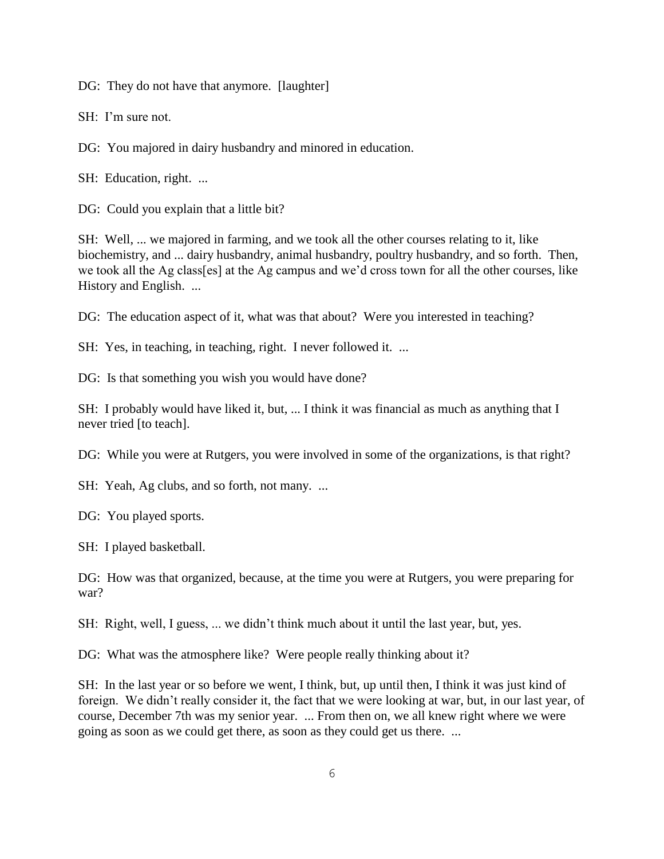DG: They do not have that anymore. [laughter]

SH: I'm sure not.

DG: You majored in dairy husbandry and minored in education.

SH: Education, right. ...

DG: Could you explain that a little bit?

SH: Well, ... we majored in farming, and we took all the other courses relating to it, like biochemistry, and ... dairy husbandry, animal husbandry, poultry husbandry, and so forth. Then, we took all the Ag class[es] at the Ag campus and we'd cross town for all the other courses, like History and English. ...

DG: The education aspect of it, what was that about? Were you interested in teaching?

SH: Yes, in teaching, in teaching, right. I never followed it. ...

DG: Is that something you wish you would have done?

SH: I probably would have liked it, but, ... I think it was financial as much as anything that I never tried [to teach].

DG: While you were at Rutgers, you were involved in some of the organizations, is that right?

SH: Yeah, Ag clubs, and so forth, not many. ...

DG: You played sports.

SH: I played basketball.

DG: How was that organized, because, at the time you were at Rutgers, you were preparing for war?

SH: Right, well, I guess, ... we didn't think much about it until the last year, but, yes.

DG: What was the atmosphere like? Were people really thinking about it?

SH: In the last year or so before we went, I think, but, up until then, I think it was just kind of foreign. We didn't really consider it, the fact that we were looking at war, but, in our last year, of course, December 7th was my senior year. ... From then on, we all knew right where we were going as soon as we could get there, as soon as they could get us there. ...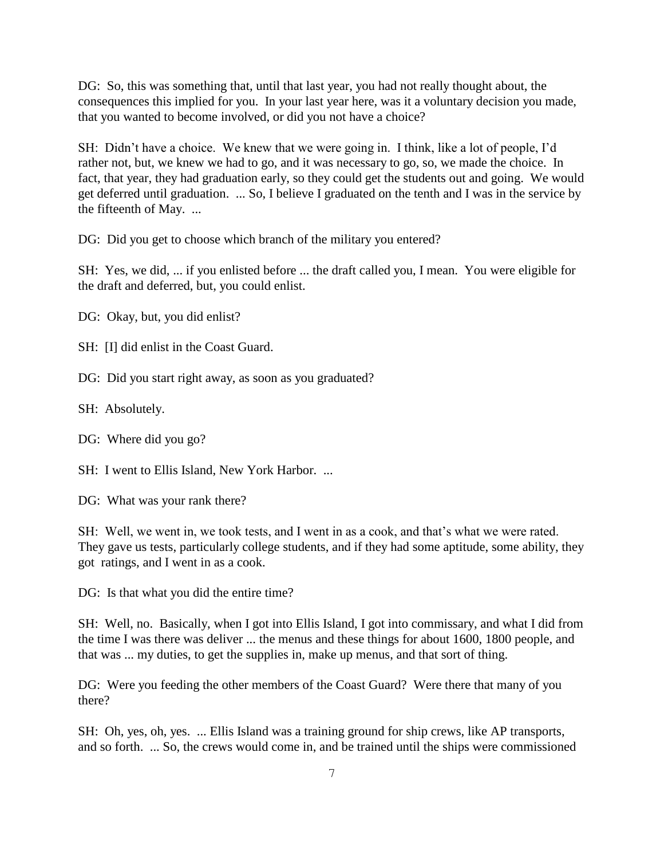DG: So, this was something that, until that last year, you had not really thought about, the consequences this implied for you. In your last year here, was it a voluntary decision you made, that you wanted to become involved, or did you not have a choice?

SH: Didn't have a choice. We knew that we were going in. I think, like a lot of people, I'd rather not, but, we knew we had to go, and it was necessary to go, so, we made the choice. In fact, that year, they had graduation early, so they could get the students out and going. We would get deferred until graduation. ... So, I believe I graduated on the tenth and I was in the service by the fifteenth of May. ...

DG: Did you get to choose which branch of the military you entered?

SH: Yes, we did, ... if you enlisted before ... the draft called you, I mean. You were eligible for the draft and deferred, but, you could enlist.

DG: Okay, but, you did enlist?

SH: [I] did enlist in the Coast Guard.

DG: Did you start right away, as soon as you graduated?

SH: Absolutely.

DG: Where did you go?

SH: I went to Ellis Island, New York Harbor. ...

DG: What was your rank there?

SH: Well, we went in, we took tests, and I went in as a cook, and that's what we were rated. They gave us tests, particularly college students, and if they had some aptitude, some ability, they got ratings, and I went in as a cook.

DG: Is that what you did the entire time?

SH: Well, no. Basically, when I got into Ellis Island, I got into commissary, and what I did from the time I was there was deliver ... the menus and these things for about 1600, 1800 people, and that was ... my duties, to get the supplies in, make up menus, and that sort of thing.

DG: Were you feeding the other members of the Coast Guard? Were there that many of you there?

SH: Oh, yes, oh, yes. ... Ellis Island was a training ground for ship crews, like AP transports, and so forth. ... So, the crews would come in, and be trained until the ships were commissioned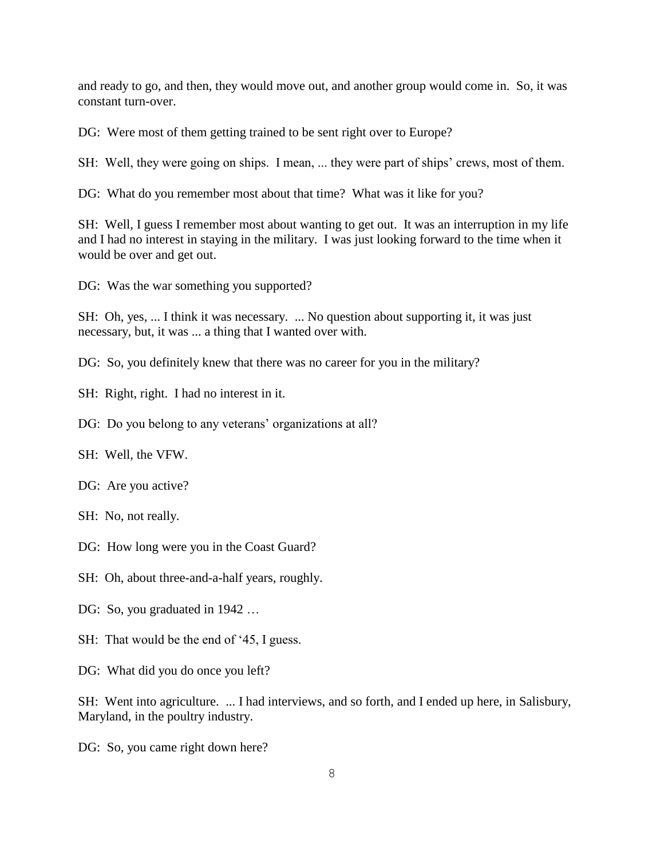and ready to go, and then, they would move out, and another group would come in. So, it was constant turn-over.

DG: Were most of them getting trained to be sent right over to Europe?

SH: Well, they were going on ships. I mean, ... they were part of ships' crews, most of them.

DG: What do you remember most about that time? What was it like for you?

SH: Well, I guess I remember most about wanting to get out. It was an interruption in my life and I had no interest in staying in the military. I was just looking forward to the time when it would be over and get out.

DG: Was the war something you supported?

SH: Oh, yes, ... I think it was necessary. ... No question about supporting it, it was just necessary, but, it was ... a thing that I wanted over with.

DG: So, you definitely knew that there was no career for you in the military?

SH: Right, right. I had no interest in it.

DG: Do you belong to any veterans' organizations at all?

SH: Well, the VFW.

DG: Are you active?

SH: No, not really.

DG: How long were you in the Coast Guard?

SH: Oh, about three-and-a-half years, roughly.

DG: So, you graduated in 1942 ...

SH: That would be the end of '45, I guess.

DG: What did you do once you left?

SH: Went into agriculture. ... I had interviews, and so forth, and I ended up here, in Salisbury, Maryland, in the poultry industry.

DG: So, you came right down here?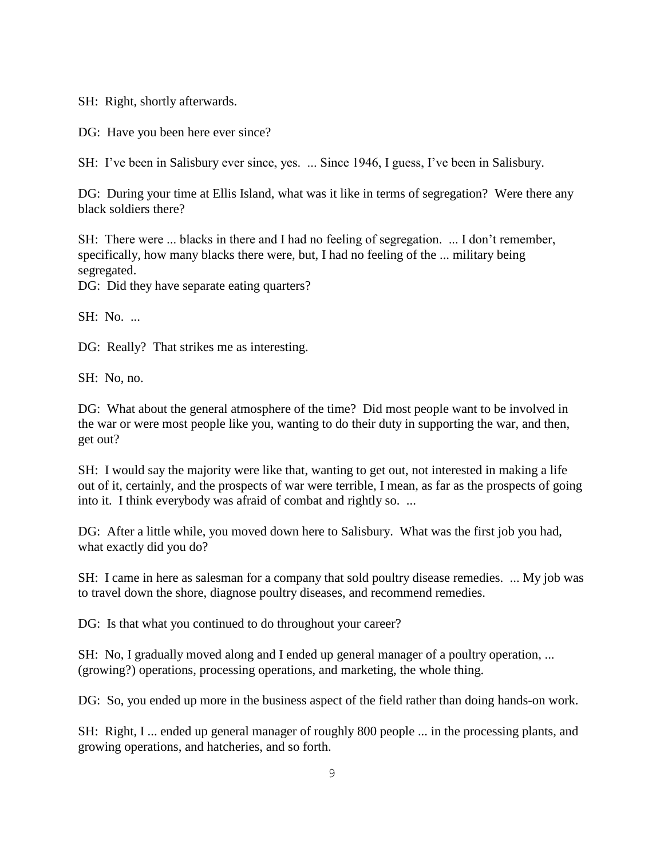SH: Right, shortly afterwards.

DG: Have you been here ever since?

SH: I've been in Salisbury ever since, yes. ... Since 1946, I guess, I've been in Salisbury.

DG: During your time at Ellis Island, what was it like in terms of segregation? Were there any black soldiers there?

SH: There were ... blacks in there and I had no feeling of segregation. ... I don't remember, specifically, how many blacks there were, but, I had no feeling of the ... military being segregated.

DG: Did they have separate eating quarters?

SH: No. ...

DG: Really? That strikes me as interesting.

SH: No, no.

DG: What about the general atmosphere of the time? Did most people want to be involved in the war or were most people like you, wanting to do their duty in supporting the war, and then, get out?

SH: I would say the majority were like that, wanting to get out, not interested in making a life out of it, certainly, and the prospects of war were terrible, I mean, as far as the prospects of going into it. I think everybody was afraid of combat and rightly so. ...

DG: After a little while, you moved down here to Salisbury. What was the first job you had, what exactly did you do?

SH: I came in here as salesman for a company that sold poultry disease remedies. ... My job was to travel down the shore, diagnose poultry diseases, and recommend remedies.

DG: Is that what you continued to do throughout your career?

SH: No, I gradually moved along and I ended up general manager of a poultry operation, ... (growing?) operations, processing operations, and marketing, the whole thing.

DG: So, you ended up more in the business aspect of the field rather than doing hands-on work.

SH: Right, I ... ended up general manager of roughly 800 people ... in the processing plants, and growing operations, and hatcheries, and so forth.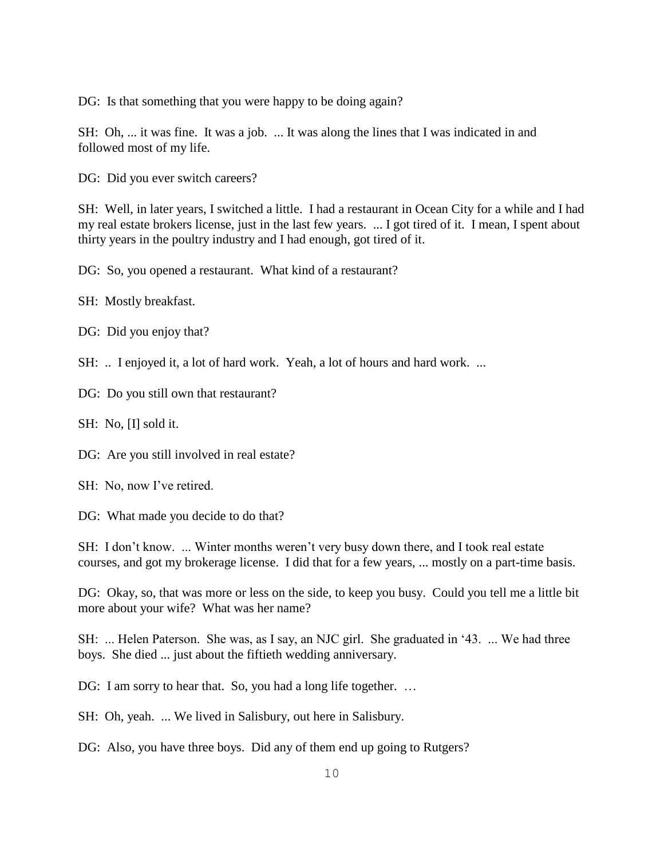DG: Is that something that you were happy to be doing again?

SH: Oh, ... it was fine. It was a job. ... It was along the lines that I was indicated in and followed most of my life.

DG: Did you ever switch careers?

SH: Well, in later years, I switched a little. I had a restaurant in Ocean City for a while and I had my real estate brokers license, just in the last few years. ... I got tired of it. I mean, I spent about thirty years in the poultry industry and I had enough, got tired of it.

DG: So, you opened a restaurant. What kind of a restaurant?

SH: Mostly breakfast.

DG: Did you enjoy that?

SH: .. I enjoyed it, a lot of hard work. Yeah, a lot of hours and hard work. ...

DG: Do you still own that restaurant?

SH: No, [I] sold it.

DG: Are you still involved in real estate?

SH: No, now I've retired.

DG: What made you decide to do that?

SH: I don't know. ... Winter months weren't very busy down there, and I took real estate courses, and got my brokerage license. I did that for a few years, ... mostly on a part-time basis.

DG: Okay, so, that was more or less on the side, to keep you busy. Could you tell me a little bit more about your wife? What was her name?

SH: ... Helen Paterson. She was, as I say, an NJC girl. She graduated in '43. ... We had three boys. She died ... just about the fiftieth wedding anniversary.

DG: I am sorry to hear that. So, you had a long life together. ...

SH: Oh, yeah. ... We lived in Salisbury, out here in Salisbury.

DG: Also, you have three boys. Did any of them end up going to Rutgers?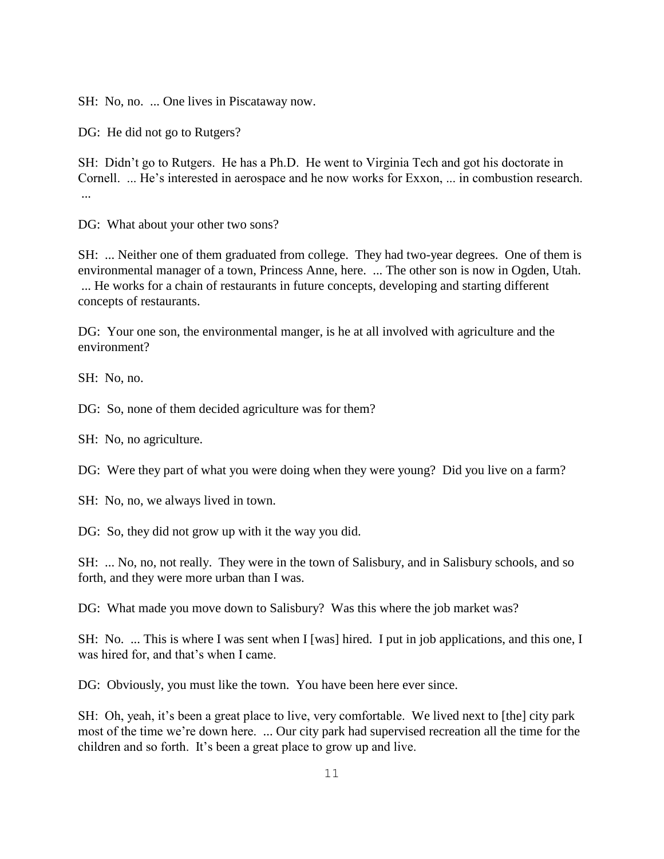SH: No, no. ... One lives in Piscataway now.

DG: He did not go to Rutgers?

SH: Didn't go to Rutgers. He has a Ph.D. He went to Virginia Tech and got his doctorate in Cornell. ... He's interested in aerospace and he now works for Exxon, ... in combustion research. ...

DG: What about your other two sons?

SH: ... Neither one of them graduated from college. They had two-year degrees. One of them is environmental manager of a town, Princess Anne, here. ... The other son is now in Ogden, Utah. ... He works for a chain of restaurants in future concepts, developing and starting different concepts of restaurants.

DG: Your one son, the environmental manger, is he at all involved with agriculture and the environment?

SH: No, no.

DG: So, none of them decided agriculture was for them?

SH: No, no agriculture.

DG: Were they part of what you were doing when they were young? Did you live on a farm?

SH: No, no, we always lived in town.

DG: So, they did not grow up with it the way you did.

SH: ... No, no, not really. They were in the town of Salisbury, and in Salisbury schools, and so forth, and they were more urban than I was.

DG: What made you move down to Salisbury? Was this where the job market was?

SH: No. ... This is where I was sent when I [was] hired. I put in job applications, and this one, I was hired for, and that's when I came.

DG: Obviously, you must like the town. You have been here ever since.

SH: Oh, yeah, it's been a great place to live, very comfortable. We lived next to [the] city park most of the time we're down here. ... Our city park had supervised recreation all the time for the children and so forth. It's been a great place to grow up and live.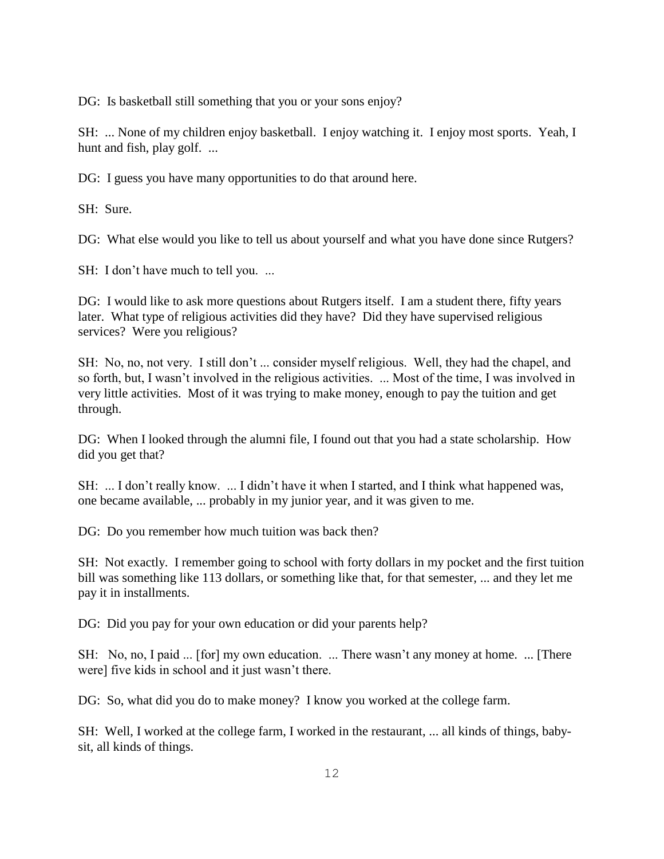DG: Is basketball still something that you or your sons enjoy?

SH: ... None of my children enjoy basketball. I enjoy watching it. I enjoy most sports. Yeah, I hunt and fish, play golf. ...

DG: I guess you have many opportunities to do that around here.

SH: Sure.

DG: What else would you like to tell us about yourself and what you have done since Rutgers?

SH: I don't have much to tell you. ...

DG: I would like to ask more questions about Rutgers itself. I am a student there, fifty years later. What type of religious activities did they have? Did they have supervised religious services? Were you religious?

SH: No, no, not very. I still don't ... consider myself religious. Well, they had the chapel, and so forth, but, I wasn't involved in the religious activities. ... Most of the time, I was involved in very little activities. Most of it was trying to make money, enough to pay the tuition and get through.

DG: When I looked through the alumni file, I found out that you had a state scholarship. How did you get that?

SH: ... I don't really know. ... I didn't have it when I started, and I think what happened was, one became available, ... probably in my junior year, and it was given to me.

DG: Do you remember how much tuition was back then?

SH: Not exactly. I remember going to school with forty dollars in my pocket and the first tuition bill was something like 113 dollars, or something like that, for that semester, ... and they let me pay it in installments.

DG: Did you pay for your own education or did your parents help?

SH: No, no, I paid ... [for] my own education. ... There wasn't any money at home. ... [There were] five kids in school and it just wasn't there.

DG: So, what did you do to make money? I know you worked at the college farm.

SH: Well, I worked at the college farm, I worked in the restaurant, ... all kinds of things, babysit, all kinds of things.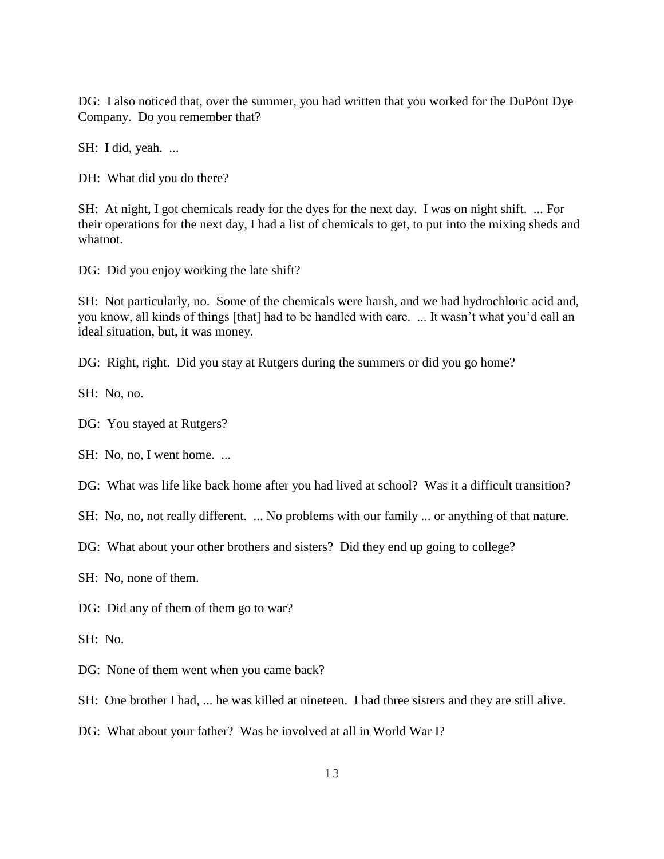DG: I also noticed that, over the summer, you had written that you worked for the DuPont Dye Company. Do you remember that?

SH: I did, yeah. ...

DH: What did you do there?

SH: At night, I got chemicals ready for the dyes for the next day. I was on night shift. ... For their operations for the next day, I had a list of chemicals to get, to put into the mixing sheds and whatnot.

DG: Did you enjoy working the late shift?

SH: Not particularly, no. Some of the chemicals were harsh, and we had hydrochloric acid and, you know, all kinds of things [that] had to be handled with care. ... It wasn't what you'd call an ideal situation, but, it was money.

DG: Right, right. Did you stay at Rutgers during the summers or did you go home?

SH: No, no.

DG: You stayed at Rutgers?

SH: No, no, I went home. ...

DG: What was life like back home after you had lived at school? Was it a difficult transition?

SH: No, no, not really different. ... No problems with our family ... or anything of that nature.

DG: What about your other brothers and sisters? Did they end up going to college?

SH: No, none of them.

DG: Did any of them of them go to war?

SH: No.

DG: None of them went when you came back?

SH: One brother I had, ... he was killed at nineteen. I had three sisters and they are still alive.

DG: What about your father? Was he involved at all in World War I?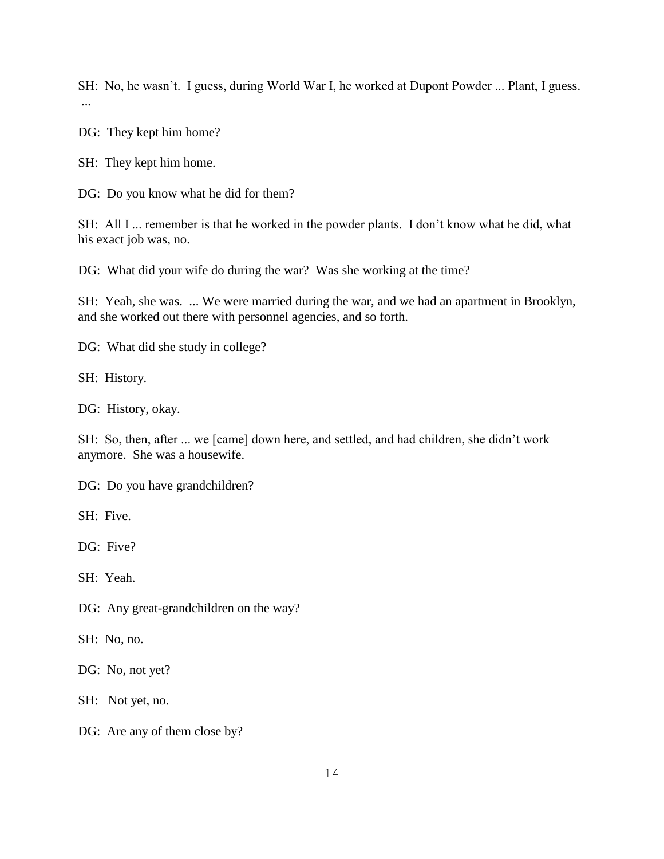SH: No, he wasn't. I guess, during World War I, he worked at Dupont Powder ... Plant, I guess. ...

DG: They kept him home?

SH: They kept him home.

DG: Do you know what he did for them?

SH: All I ... remember is that he worked in the powder plants. I don't know what he did, what his exact job was, no.

DG: What did your wife do during the war? Was she working at the time?

SH: Yeah, she was. ... We were married during the war, and we had an apartment in Brooklyn, and she worked out there with personnel agencies, and so forth.

DG: What did she study in college?

SH: History.

DG: History, okay.

SH: So, then, after ... we [came] down here, and settled, and had children, she didn't work anymore. She was a housewife.

DG: Do you have grandchildren?

SH: Five.

DG: Five?

SH: Yeah.

DG: Any great-grandchildren on the way?

SH: No, no.

DG: No, not yet?

SH: Not yet, no.

DG: Are any of them close by?